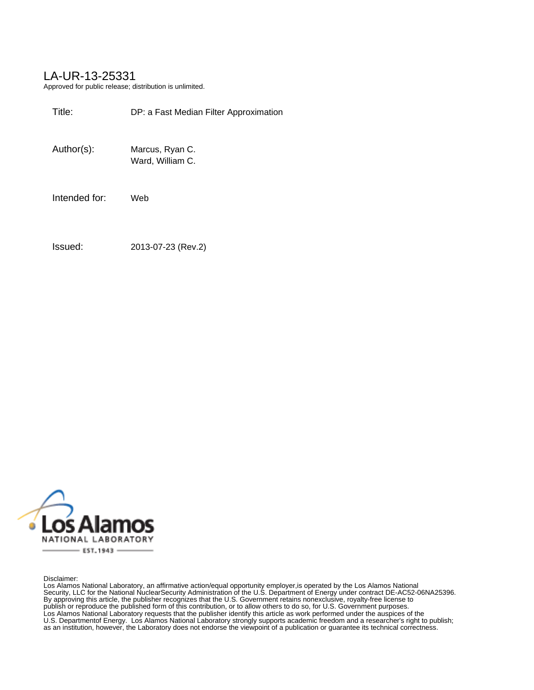### LA-UR-13-25331

Approved for public release; distribution is unlimited.

| Title:        | DP: a Fast Median Filter Approximation |
|---------------|----------------------------------------|
| Author(s):    | Marcus, Ryan C.<br>Ward, William C.    |
| Intended for: | Web                                    |
| Issued:       | 2013-07-23 (Rev.2)                     |



Disclaimer:

Los Alamos National Laboratory, an affirmative action/equal opportunity employer,is operated by the Los Alamos National Security, LLC for the National NuclearSecurity Administration of the U.S. Department of Energy under contract DE-AC52-06NA25396. By approving this article, the publisher recognizes that the U.S. Government retains nonexclusive, royalty-free license to publish or reproduce the published form of this contribution, or to allow others to do so, for U.S. Government purposes. Los Alamos National Laboratory requests that the publisher identify this article as work performed under the auspices of the U.S. Departmentof Energy. Los Alamos National Laboratory strongly supports academic freedom and a researcher's right to publish; as an institution, however, the Laboratory does not endorse the viewpoint of a publication or guarantee its technical correctness.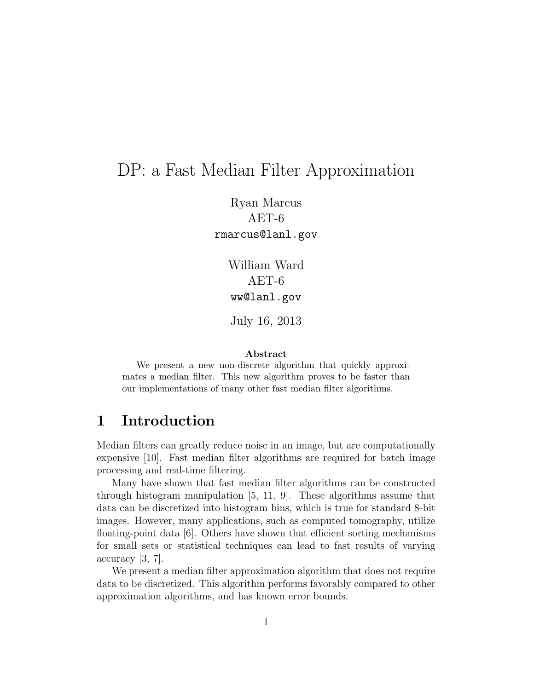# DP: a Fast Median Filter Approximation

Ryan Marcus AET-6 rmarcus@lanl.gov

> William Ward AET-6 ww@lanl.gov

July 16, 2013

#### Abstract

We present a new non-discrete algorithm that quickly approximates a median filter. This new algorithm proves to be faster than our implementations of many other fast median filter algorithms.

## 1 Introduction

Median filters can greatly reduce noise in an image, but are computationally expensive [10]. Fast median filter algorithms are required for batch image processing and real-time filtering.

Many have shown that fast median filter algorithms can be constructed through histogram manipulation [5, 11, 9]. These algorithms assume that data can be discretized into histogram bins, which is true for standard 8-bit images. However, many applications, such as computed tomography, utilize floating-point data [6]. Others have shown that efficient sorting mechanisms for small sets or statistical techniques can lead to fast results of varying accuracy [3, 7].

We present a median filter approximation algorithm that does not require data to be discretized. This algorithm performs favorably compared to other approximation algorithms, and has known error bounds.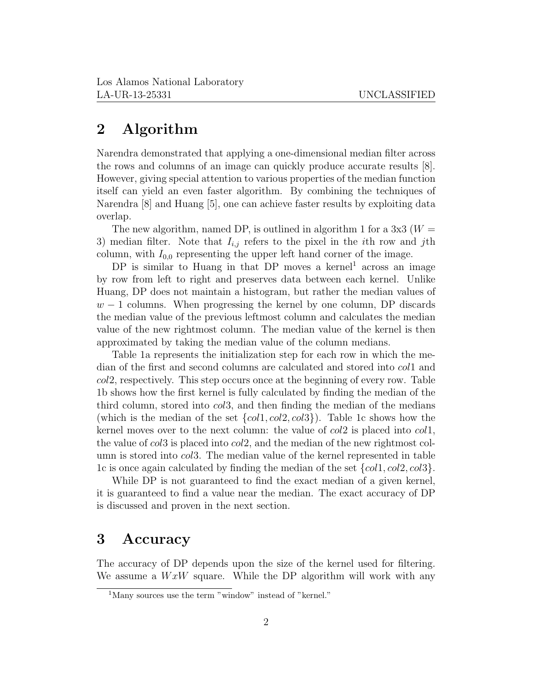### 2 Algorithm

Narendra demonstrated that applying a one-dimensional median filter across the rows and columns of an image can quickly produce accurate results [8]. However, giving special attention to various properties of the median function itself can yield an even faster algorithm. By combining the techniques of Narendra [8] and Huang [5], one can achieve faster results by exploiting data overlap.

The new algorithm, named DP, is outlined in algorithm 1 for a  $3x3$  ( $W =$ 3) median filter. Note that  $I_{i,j}$  refers to the pixel in the *i*th row and *j*th column, with  $I_{0,0}$  representing the upper left hand corner of the image.

 $DP$  is similar to Huang in that  $DP$  moves a kernel<sup>1</sup> across an image by row from left to right and preserves data between each kernel. Unlike Huang, DP does not maintain a histogram, but rather the median values of  $w-1$  columns. When progressing the kernel by one column, DP discards the median value of the previous leftmost column and calculates the median value of the new rightmost column. The median value of the kernel is then approximated by taking the median value of the column medians.

Table 1a represents the initialization step for each row in which the median of the first and second columns are calculated and stored into col1 and col2, respectively. This step occurs once at the beginning of every row. Table 1b shows how the first kernel is fully calculated by finding the median of the third column, stored into col3, and then finding the median of the medians (which is the median of the set  $\{col1, col2, col3\}$ ). Table 1c shows how the kernel moves over to the next column: the value of  $col2$  is placed into  $col1$ , the value of col3 is placed into col2, and the median of the new rightmost column is stored into *col*3. The median value of the kernel represented in table 1c is once again calculated by finding the median of the set  $\{col1, col2, col3\}$ .

While DP is not guaranteed to find the exact median of a given kernel, it is guaranteed to find a value near the median. The exact accuracy of DP is discussed and proven in the next section.

## 3 Accuracy

The accuracy of DP depends upon the size of the kernel used for filtering. We assume a  $WxW$  square. While the DP algorithm will work with any

<sup>&</sup>lt;sup>1</sup>Many sources use the term "window" instead of "kernel."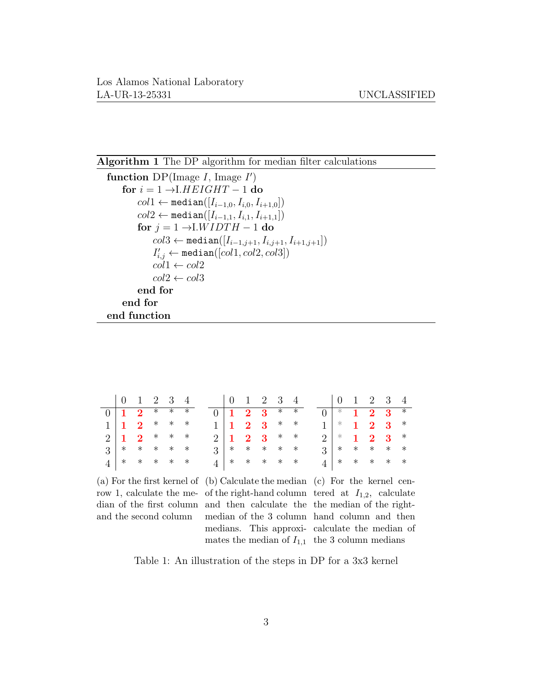#### Algorithm 1 The DP algorithm for median filter calculations

```
function DP(Image I, Image I')for i = 1 \rightarrowI.HEIGHT – 1 do
         coll \leftarrow \text{median}([I_{i-1,0}, I_{i,0}, I_{i+1,0}])col2 ← median([I_{i-1,1}, I_{i,1}, I_{i+1,1}])
         for j = 1 \rightarrow I.WIDTH - 1 do
              col3 \leftarrow \text{median}([I_{i-1,j+1}, I_{i,j+1}, I_{i+1,j+1}])I'_{i,j} \leftarrow \texttt{median}([col1,col2,col3])col1 \leftarrow col2col2 \leftarrow col3end for
    end for
end function
```

| $\begin{array}{cccccc} 0 & 1 & 2 & 3 & 4 \end{array}$ |  |  | $\begin{array}{cccccc} 0 & 1 & 2 & 3 & 4 \end{array}$ |  |  |  | $\begin{array}{cccccc} 0 & 1 & 2 & 3 & 4 \end{array}$ |  |
|-------------------------------------------------------|--|--|-------------------------------------------------------|--|--|--|-------------------------------------------------------|--|
| $0 \mid 1 \quad 2 \quad * \quad * \quad *$            |  |  | $0 \mid 1 \quad 2 \quad 3 \quad * \quad *$            |  |  |  | $0$ * 1 2 3 *                                         |  |
| $1 \vert 1 \ 2 \ * \ * \ *$                           |  |  | $1 \vert 1 \ 2 \ 3 \ * \ *$                           |  |  |  | $1 \vert *$ 1 2 3 $*$                                 |  |
| $2 \mid 1 \quad 2 \quad * \quad * \quad *$            |  |  | $2 \mid 1 \quad 2 \quad 3 \quad * \quad *$            |  |  |  | $2 \times 123$ *                                      |  |
| $3$ * * * * *                                         |  |  | $3$ * * * * *                                         |  |  |  | $3$ * * * * *                                         |  |
| $4$ * * * * *                                         |  |  | $4$   * * * * * *                                     |  |  |  | $4$ * * * * *                                         |  |

and the second column

(a) For the first kernel of (b) Calculate the median (c) For the kernel cenrow 1, calculate the me- of the right-hand column tered at  $I_{1,2}$ , calculate dian of the first column and then calculate the the median of the rightmates the median of  $I_{1,1}$  the 3 column medians

median of the 3 column hand column and then medians. This approxi-calculate the median of

Table 1: An illustration of the steps in DP for a 3x3 kernel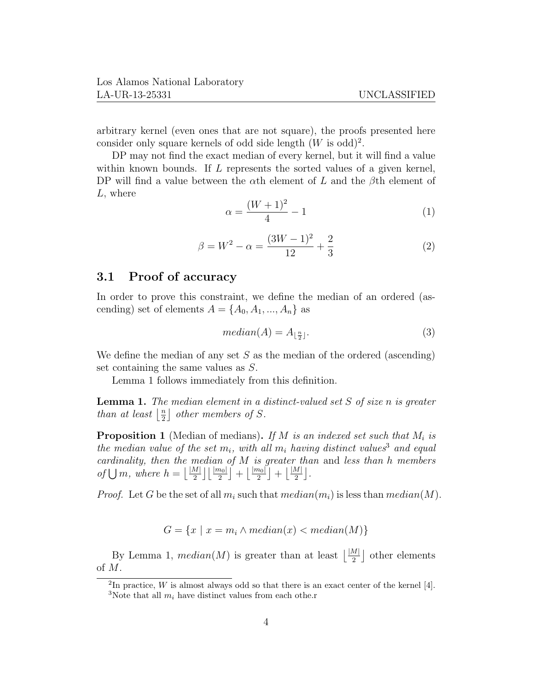arbitrary kernel (even ones that are not square), the proofs presented here consider only square kernels of odd side length  $(W \text{ is odd})^2$ .

DP may not find the exact median of every kernel, but it will find a value within known bounds. If  $L$  represents the sorted values of a given kernel, DP will find a value between the  $\alpha$ th element of L and the  $\beta$ th element of L, where

$$
\alpha = \frac{(W+1)^2}{4} - 1\tag{1}
$$

$$
\beta = W^2 - \alpha = \frac{(3W - 1)^2}{12} + \frac{2}{3} \tag{2}
$$

### 3.1 Proof of accuracy

In order to prove this constraint, we define the median of an ordered (ascending) set of elements  $A = \{A_0, A_1, ..., A_n\}$  as

$$
median(A) = A_{\lfloor \frac{n}{2} \rfloor}.\tag{3}
$$

We define the median of any set  $S$  as the median of the ordered (ascending) set containing the same values as S.

Lemma 1 follows immediately from this definition.

**Lemma 1.** The median element in a distinct-valued set  $S$  of size  $n$  is greater than at least  $\frac{n}{2}$  $\frac{n}{2}$  other members of S.

**Proposition 1** (Median of medians). If M is an indexed set such that  $M_i$  is the median value of the set  $m_i$ , with all  $m_i$  having distinct values<sup>3</sup> and equal cardinality, then the median of  $M$  is greater than and less than h members of  $\bigcup m$ , where  $h = \left\lfloor \frac{|M|}{2} \right\rfloor \left\lfloor \frac{|m_0|}{2} \right\rfloor + \left\lfloor \frac{|m_0|}{2} \right\rfloor + \left\lfloor \frac{|M|}{2} \right\rfloor$ .

*Proof.* Let G be the set of all  $m_i$  such that  $median(m_i)$  is less than  $median(M)$ .

$$
G = \{x \mid x = m_i \land median(x) < median(M)\}\
$$

By Lemma 1,  $median(M)$  is greater than at least  $\lfloor \frac{|M|}{2} \rfloor$  other elements of M.

<sup>&</sup>lt;sup>2</sup>In practice, W is almost always odd so that there is an exact center of the kernel [4]. <sup>3</sup>Note that all  $m_i$  have distinct values from each othe.r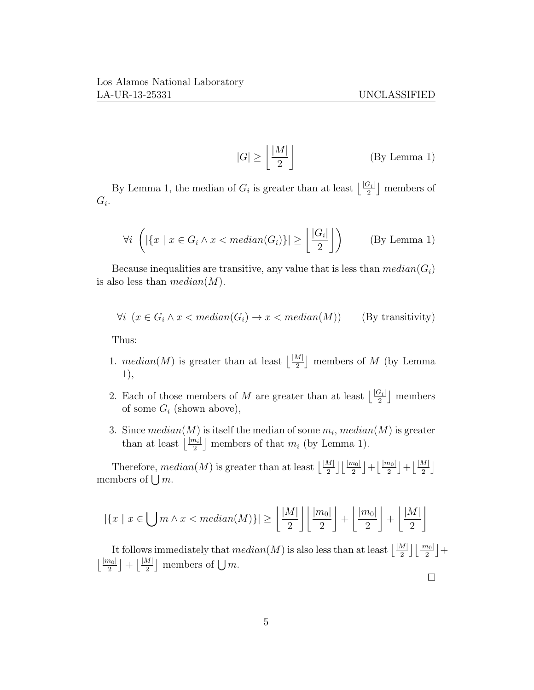$\Box$ 

$$
|G| \ge \left\lfloor \frac{|M|}{2} \right\rfloor \tag{By Lemma 1}
$$

By Lemma 1, the median of  $G_i$  is greater than at least  $\lfloor \frac{|G_i|}{2} \rfloor$  members of  $G_i$ .

$$
\forall i \ \left( |\{x \mid x \in G_i \land x < \text{median}(G_i)\}| \ge \left\lfloor \frac{|G_i|}{2} \right\rfloor \right) \qquad \text{(By Lemma 1)}
$$

Because inequalities are transitive, any value that is less than  $median(G_i)$ is also less than  $median(M)$ .

$$
\forall i \ (x \in G_i \land x < median(G_i) \to x < median(M)) \qquad \text{(By transitivity)}
$$

Thus:

- 1.  $median(M)$  is greater than at least  $\lfloor \frac{|M|}{2} \rfloor$  members of M (by Lemma 1),
- 2. Each of those members of M are greater than at least  $\lfloor \frac{|G_i|}{2} \rfloor$  members of some  ${\cal G}_i$  (shown above),
- 3. Since  $median(M)$  is itself the median of some  $m_i$ ,  $median(M)$  is greater than at least  $\lfloor \frac{|m_i|}{2} \rfloor$  members of that  $m_i$  (by Lemma 1).

Therefore,  $median(M)$  is greater than at least  $\lfloor \frac{|M|}{2} \rfloor \lfloor \frac{|m_0|}{2} \rfloor + \lfloor \frac{|m_0|}{2} \rfloor + \lfloor \frac{|M|}{2} \rfloor$ members of  $\bigcup m$ .

$$
|\{x \mid x \in \bigcup m \land x < \text{median}(M)\}| \ge \left\lfloor \frac{|M|}{2} \right\rfloor \left\lfloor \frac{|m_0|}{2} \right\rfloor + \left\lfloor \frac{|m_0|}{2} \right\rfloor + \left\lfloor \frac{|M|}{2} \right\rfloor
$$

It follows immediately that  $median(M)$  is also less than at least  $\lfloor \frac{|M|}{2} \rfloor \lfloor \frac{|m_0|}{2} \rfloor +$  $\lfloor \frac{|m_0|}{2} \rfloor + \lfloor \frac{|M|}{2} \rfloor$  members of  $\bigcup m$ .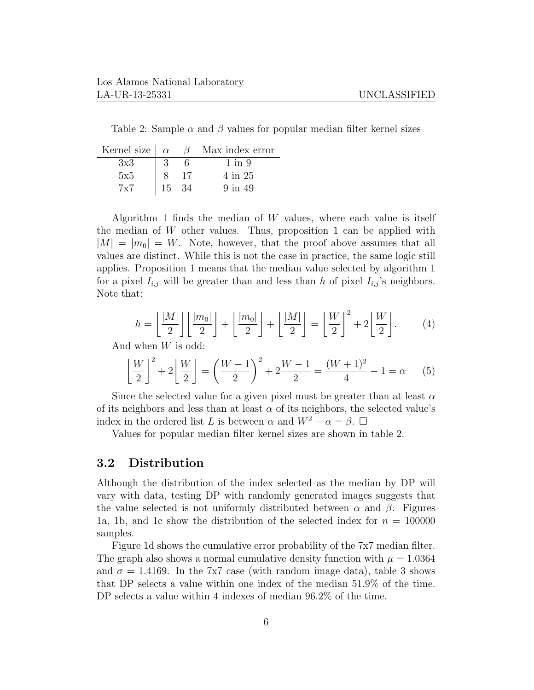Table 2: Sample  $\alpha$  and  $\beta$  values for popular median filter kernel sizes

| Kernel size $\alpha$ |     |    | Max index error |
|----------------------|-----|----|-----------------|
| 3x3                  |     |    | 1 in 9          |
| 5x5                  |     |    | 4 in 25         |
| $7\mathrm{x}7$       | 15. | 34 | $9$ in $49$     |

Algorithm 1 finds the median of  $W$  values, where each value is itself the median of  $W$  other values. Thus, proposition 1 can be applied with  $|M| = |m_0| = W$ . Note, however, that the proof above assumes that all values are distinct. While this is not the case in practice, the same logic still applies. Proposition 1 means that the median value selected by algorithm 1 for a pixel  $I_{i,j}$  will be greater than and less than h of pixel  $I_{i,j}$ 's neighbors. Note that:

$$
h = \left\lfloor \frac{|M|}{2} \right\rfloor \left\lfloor \frac{|m_0|}{2} \right\rfloor + \left\lfloor \frac{|m_0|}{2} \right\rfloor + \left\lfloor \frac{|M|}{2} \right\rfloor = \left\lfloor \frac{W}{2} \right\rfloor^2 + 2 \left\lfloor \frac{W}{2} \right\rfloor. \tag{4}
$$

And when W is odd:

$$
\left\lfloor \frac{W}{2} \right\rfloor^2 + 2\left\lfloor \frac{W}{2} \right\rfloor = \left(\frac{W-1}{2}\right)^2 + 2\frac{W-1}{2} = \frac{(W+1)^2}{4} - 1 = \alpha \tag{5}
$$

Since the selected value for a given pixel must be greater than at least  $\alpha$ of its neighbors and less than at least  $\alpha$  of its neighbors, the selected value's index in the ordered list L is between  $\alpha$  and  $W^2 - \alpha = \beta$ .  $\Box$ 

Values for popular median filter kernel sizes are shown in table 2.

#### 3.2 Distribution

Although the distribution of the index selected as the median by DP will vary with data, testing DP with randomly generated images suggests that the value selected is not uniformly distributed between  $\alpha$  and  $\beta$ . Figures 1a, 1b, and 1c show the distribution of the selected index for  $n = 100000$ samples.

Figure 1d shows the cumulative error probability of the 7x7 median filter. The graph also shows a normal cumulative density function with  $\mu = 1.0364$ and  $\sigma = 1.4169$ . In the 7x7 case (with random image data), table 3 shows that DP selects a value within one index of the median 51.9% of the time. DP selects a value within 4 indexes of median  $96.2\%$  of the time.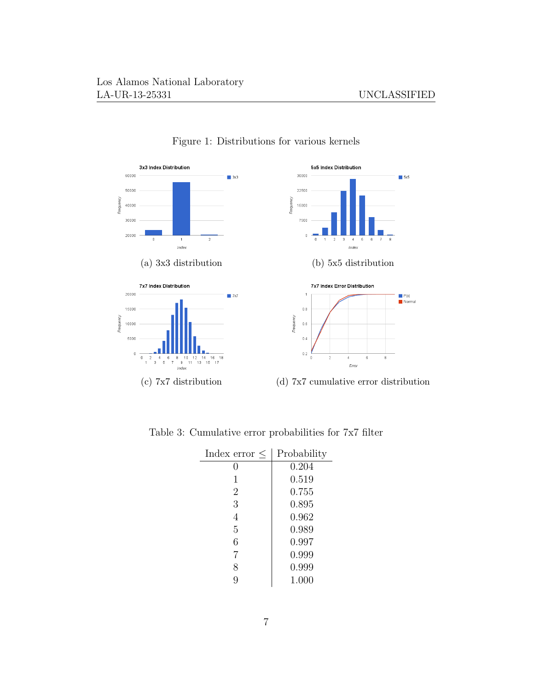

Figure 1: Distributions for various kernels

| Index error $\leq$ | Probability |
|--------------------|-------------|
| 0                  | 0.204       |
| 1                  | 0.519       |
| $\overline{2}$     | 0.755       |
| 3                  | 0.895       |
| 4                  | 0.962       |
| 5                  | 0.989       |
| 6                  | 0.997       |
| 7                  | 0.999       |
| 8                  | 0.999       |
| 9                  | 1.000       |

Table 3: Cumulative error probabilities for 7x7 filter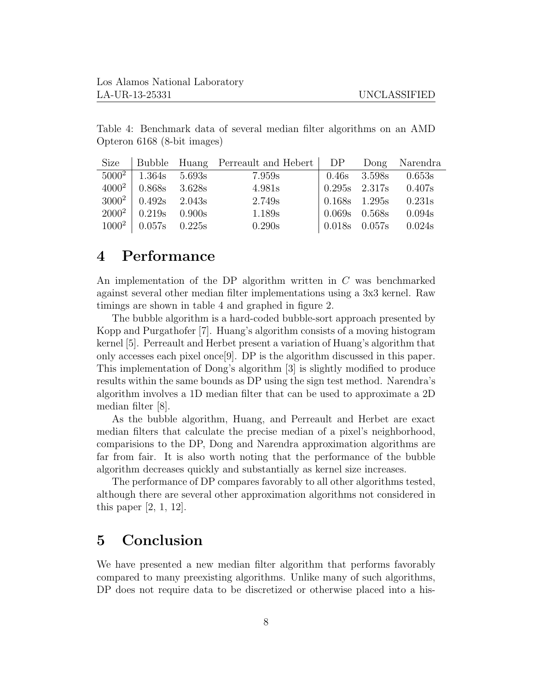Table 4: Benchmark data of several median filter algorithms on an AMD Opteron 6168 (8-bit images)

| Size     |                          |        | Bubble Huang Perreault and Hebert   DP Dong Narendra |                |                                   |                                                         |
|----------|--------------------------|--------|------------------------------------------------------|----------------|-----------------------------------|---------------------------------------------------------|
| $5000^2$ | 1.364s                   | 5.693s | 7.959s                                               |                |                                   | $\begin{array}{ l} 0.46s & 3.598s & 0.653s \end{array}$ |
| $4000^2$ | $0.868s$ 3.628s          |        | 4.981s                                               |                | $\vert 0.295s \quad 2.317s \vert$ | 0.407s                                                  |
|          | $3000^2$   0.492s 2.043s |        | 2.749s                                               |                | $\vert 0.168$ s 1.295s            | 0.231s                                                  |
| $2000^2$ | $0.219s$ 0.900s          |        | 1.189s                                               | $\vert$ 0.069s | 0.568s                            | 0.094s                                                  |
| $1000^2$ | $0.057s$ 0.225s          |        | 0.290s                                               | $\mid 0.018$ s | 0.057s                            | 0.024s                                                  |

## 4 Performance

An implementation of the DP algorithm written in C was benchmarked against several other median filter implementations using a 3x3 kernel. Raw timings are shown in table 4 and graphed in figure 2.

The bubble algorithm is a hard-coded bubble-sort approach presented by Kopp and Purgathofer [7]. Huang's algorithm consists of a moving histogram kernel [5]. Perreault and Herbet present a variation of Huang's algorithm that only accesses each pixel once[9]. DP is the algorithm discussed in this paper. This implementation of Dong's algorithm [3] is slightly modified to produce results within the same bounds as DP using the sign test method. Narendra's algorithm involves a 1D median filter that can be used to approximate a 2D median filter [8].

As the bubble algorithm, Huang, and Perreault and Herbet are exact median filters that calculate the precise median of a pixel's neighborhood, comparisions to the DP, Dong and Narendra approximation algorithms are far from fair. It is also worth noting that the performance of the bubble algorithm decreases quickly and substantially as kernel size increases.

The performance of DP compares favorably to all other algorithms tested, although there are several other approximation algorithms not considered in this paper [2, 1, 12].

# 5 Conclusion

We have presented a new median filter algorithm that performs favorably compared to many preexisting algorithms. Unlike many of such algorithms, DP does not require data to be discretized or otherwise placed into a his-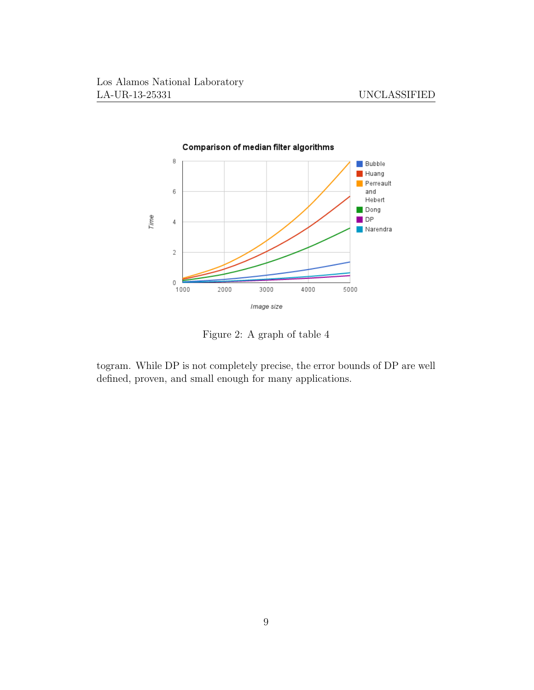

Figure 2: A graph of table 4

togram. While DP is not completely precise, the error bounds of DP are well defined, proven, and small enough for many applications.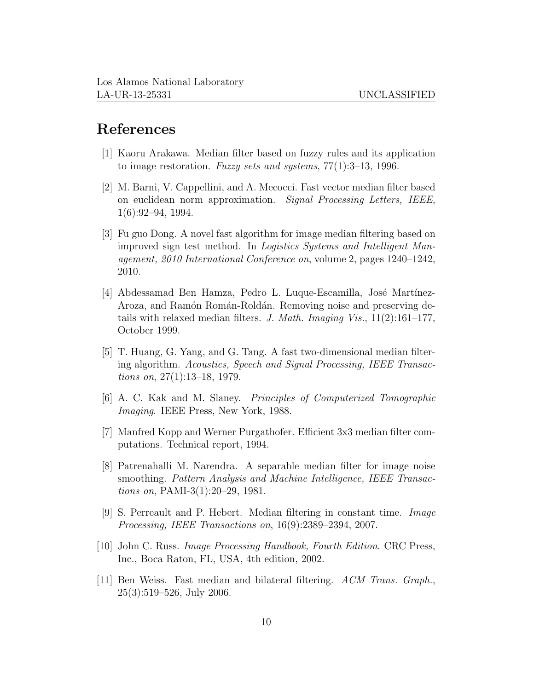### References

- [1] Kaoru Arakawa. Median filter based on fuzzy rules and its application to image restoration. Fuzzy sets and systems,  $77(1):3-13$ , 1996.
- [2] M. Barni, V. Cappellini, and A. Mecocci. Fast vector median filter based on euclidean norm approximation. Signal Processing Letters, IEEE, 1(6):92–94, 1994.
- [3] Fu guo Dong. A novel fast algorithm for image median filtering based on improved sign test method. In Logistics Systems and Intelligent Management, 2010 International Conference on, volume 2, pages 1240–1242, 2010.
- [4] Abdessamad Ben Hamza, Pedro L. Luque-Escamilla, José Martínez-Aroza, and Ramón Román-Roldán. Removing noise and preserving details with relaxed median filters. J. Math. Imaging Vis.,  $11(2):161-177$ , October 1999.
- [5] T. Huang, G. Yang, and G. Tang. A fast two-dimensional median filtering algorithm. Acoustics, Speech and Signal Processing, IEEE Transactions on, 27(1):13–18, 1979.
- [6] A. C. Kak and M. Slaney. Principles of Computerized Tomographic Imaging. IEEE Press, New York, 1988.
- [7] Manfred Kopp and Werner Purgathofer. Efficient 3x3 median filter computations. Technical report, 1994.
- [8] Patrenahalli M. Narendra. A separable median filter for image noise smoothing. Pattern Analysis and Machine Intelligence, IEEE Transactions on, PAMI-3(1):20–29, 1981.
- [9] S. Perreault and P. Hebert. Median filtering in constant time. Image Processing, IEEE Transactions on, 16(9):2389–2394, 2007.
- [10] John C. Russ. Image Processing Handbook, Fourth Edition. CRC Press, Inc., Boca Raton, FL, USA, 4th edition, 2002.
- [11] Ben Weiss. Fast median and bilateral filtering. ACM Trans. Graph., 25(3):519–526, July 2006.